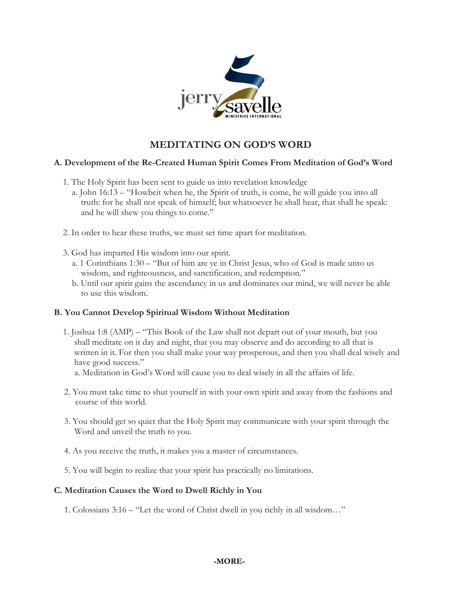

# **MEDITATING ON GOD'S WORD**

## **A. Development of the Re-Created Human Spirit Comes From Meditation of God's Word**

- 1. The Holy Spirit has been sent to guide us into revelation knowledge
	- a. John 16:13 "Howbeit when he, the Spirit of truth, is come, he will guide you into all truth: for he shall not speak of himself; but whatsoever he shall hear, that shall he speak: and he will shew you things to come."
- 2. In order to hear these truths, we must set time apart for meditation.
- 3. God has imparted His wisdom into our spirit.
	- a. 1 Corinthians 1:30 "But of him are ye in Christ Jesus, who of God is made unto us wisdom, and righteousness, and sanctification, and redemption."
	- b. Until our spirit gains the ascendancy in us and dominates our mind, we will never be able to use this wisdom.

#### **B. You Cannot Develop Spiritual Wisdom Without Meditation**

- 1. Joshua 1:8 (AMP) "This Book of the Law shall not depart out of your mouth, but you shall meditate on it day and night, that you may observe and do according to all that is written in it. For then you shall make your way prosperous, and then you shall deal wisely and have good success."
	- a. Meditation in God's Word will cause you to deal wisely in all the affairs of life.
- 2. You must take time to shut yourself in with your own spirit and away from the fashions and course of this world.
- 3. You should get so quiet that the Holy Spirit may communicate with your spirit through the Word and unveil the truth to you.
- 4. As you receive the truth, it makes you a master of circumstances.
- 5. You will begin to realize that your spirit has practically no limitations.

#### **C. Meditation Causes the Word to Dwell Richly in You**

1. Colossians 3:16 – "Let the word of Christ dwell in you richly in all wisdom…"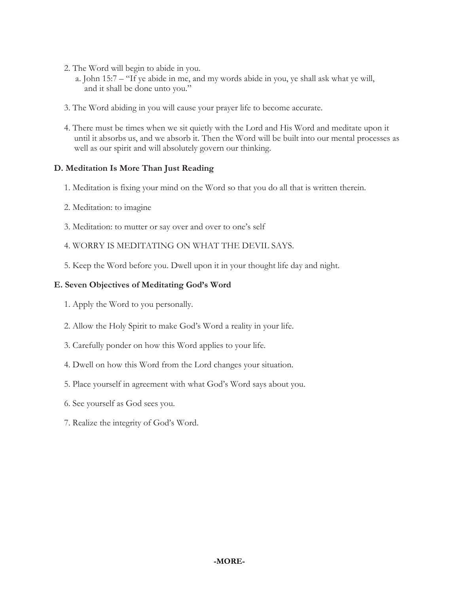- 2. The Word will begin to abide in you.
	- a. John 15:7 "If ye abide in me, and my words abide in you, ye shall ask what ye will, and it shall be done unto you."
- 3. The Word abiding in you will cause your prayer life to become accurate.
- 4. There must be times when we sit quietly with the Lord and His Word and meditate upon it until it absorbs us, and we absorb it. Then the Word will be built into our mental processes as well as our spirit and will absolutely govern our thinking.

## **D. Meditation Is More Than Just Reading**

- 1. Meditation is fixing your mind on the Word so that you do all that is written therein.
- 2. Meditation: to imagine
- 3. Meditation: to mutter or say over and over to one's self
- 4. WORRY IS MEDITATING ON WHAT THE DEVIL SAYS.
- 5. Keep the Word before you. Dwell upon it in your thought life day and night.

## **E. Seven Objectives of Meditating God's Word**

- 1. Apply the Word to you personally.
- 2. Allow the Holy Spirit to make God's Word a reality in your life.
- 3. Carefully ponder on how this Word applies to your life.
- 4. Dwell on how this Word from the Lord changes your situation.
- 5. Place yourself in agreement with what God's Word says about you.
- 6. See yourself as God sees you.
- 7. Realize the integrity of God's Word.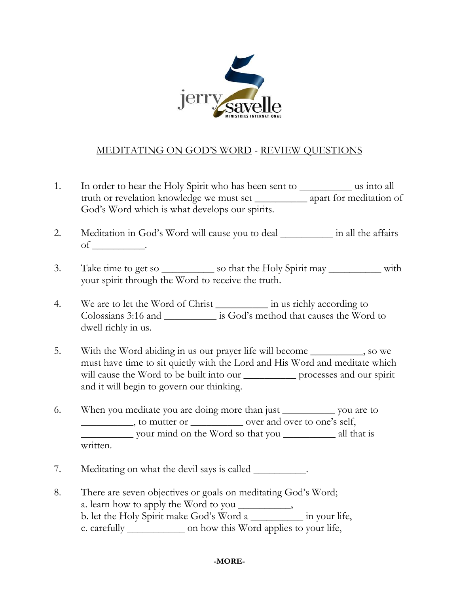

## MEDITATING ON GOD'S WORD - REVIEW QUESTIONS

- 1. In order to hear the Holy Spirit who has been sent to \_\_\_\_\_\_\_\_\_\_ us into all truth or revelation knowledge we must set \_\_\_\_\_\_\_\_\_\_ apart for meditation of God's Word which is what develops our spirits.
- 2. Meditation in God's Word will cause you to deal \_\_\_\_\_\_\_\_\_\_ in all the affairs of  $\qquad \qquad$
- 3. Take time to get so \_\_\_\_\_\_\_\_\_\_\_\_ so that the Holy Spirit may \_\_\_\_\_\_\_\_\_\_\_\_\_ with your spirit through the Word to receive the truth.
- 4. We are to let the Word of Christ \_\_\_\_\_\_\_\_\_\_\_ in us richly according to Colossians 3:16 and \_\_\_\_\_\_\_\_\_\_ is God's method that causes the Word to dwell richly in us.
- 5. With the Word abiding in us our prayer life will become \_\_\_\_\_\_\_\_\_\_, so we must have time to sit quietly with the Lord and His Word and meditate which will cause the Word to be built into our \_\_\_\_\_\_\_\_\_\_\_\_ processes and our spirit and it will begin to govern our thinking.
- 6. When you meditate you are doing more than just \_\_\_\_\_\_\_\_\_\_ you are to \_\_\_\_\_\_\_\_\_\_, to mutter or \_\_\_\_\_\_\_\_\_\_ over and over to one's self, \_\_\_\_\_\_\_\_\_\_ your mind on the Word so that you \_\_\_\_\_\_\_\_\_\_ all that is written.
- 7. Meditating on what the devil says is called \_\_\_\_\_\_\_\_\_\_.
- 8. There are seven objectives or goals on meditating God's Word; a. learn how to apply the Word to you \_\_\_\_\_\_\_\_\_, b. let the Holy Spirit make God's Word a \_\_\_\_\_\_\_\_\_\_ in your life, c. carefully \_\_\_\_\_\_\_\_\_\_\_ on how this Word applies to your life,